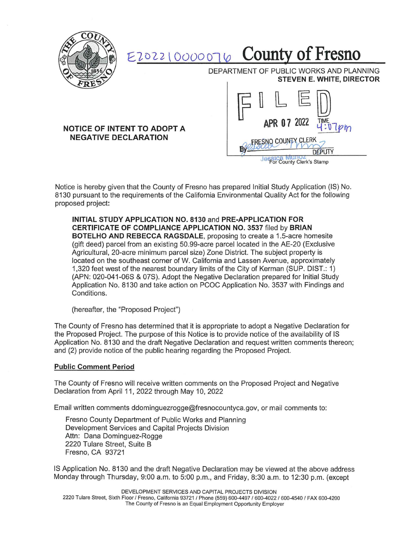

## £1022 t 0000010 County **of Fresno**

DEPARTMENT OF PUBLIC WORKS AND PLANNING **STEVEN E. WHITE, DIRECTOR** 

## **NOTICE OF INTENT TO ADOPT A NEGATIVE DECLARATION**



**Jessica Municz**<br>For County Clerk's Stamp

Notice is hereby given that the County of Fresno has prepared Initial Study Application (IS) No. 8130 pursuant to the requirements of the California Environmental Quality Act for the following proposed project:

**INITIAL STUDY APPLICATION NO. 8130** and **PRE-APPLICATION FOR CERTIFICATE OF COMPLIANCE APPLICATION NO. 3537** filed by **BRIAN BOTELHO AND REBECCA RAGSDALE,** proposing to create a 1.5-acre homesite (gift deed) parcel from an existing 50.99-acre parcel located in the AE-20 (Exclusive Agricultural, 20-acre minimum parcel size) Zone District. The subject property is located on the southeast corner of W. California and Lassen Avenue, approximately 1,320 feet west of the nearest boundary limits of the City of Kerman (SUP. DIST.: 1) (APN: 020-041-06S & 07S). Adopt the Negative Declaration prepared for Initial Study Application No. 8130 and take action on PCOC Application No. 3537 with Findings and Conditions.

(hereafter, the "Proposed Project")

The County of Fresno has determined that it is appropriate to adopt a Negative Declaration for the Proposed Project. The purpose of this Notice is to provide notice of the availability of IS Application No. 8130 and the draft Negative Declaration and request written comments thereon; and (2) provide notice of the public hearing regarding the Proposed Project.

## **Public Comment Period**

The County of Fresno will receive written comments on the Proposed Project and Negative Declaration from April 11, 2022 through May 10, 2022

Email written comments ddominguezrogge@fresnocountyca.gov, or mail comments to:

Fresno County Department of Public Works and Planning Development Services and Capital Projects Division Attn: Dana Dominguez-Rogge 2220 Tulare Street, Suite B Fresno, CA 93721

IS Application No. 8130 and the draft Negative Declaration may be viewed at the above address Monday through Thursday, 9:00 a.m. to 5:00 p.m. , and Friday, 8:30 a.m. to 12:30 p.m. (except